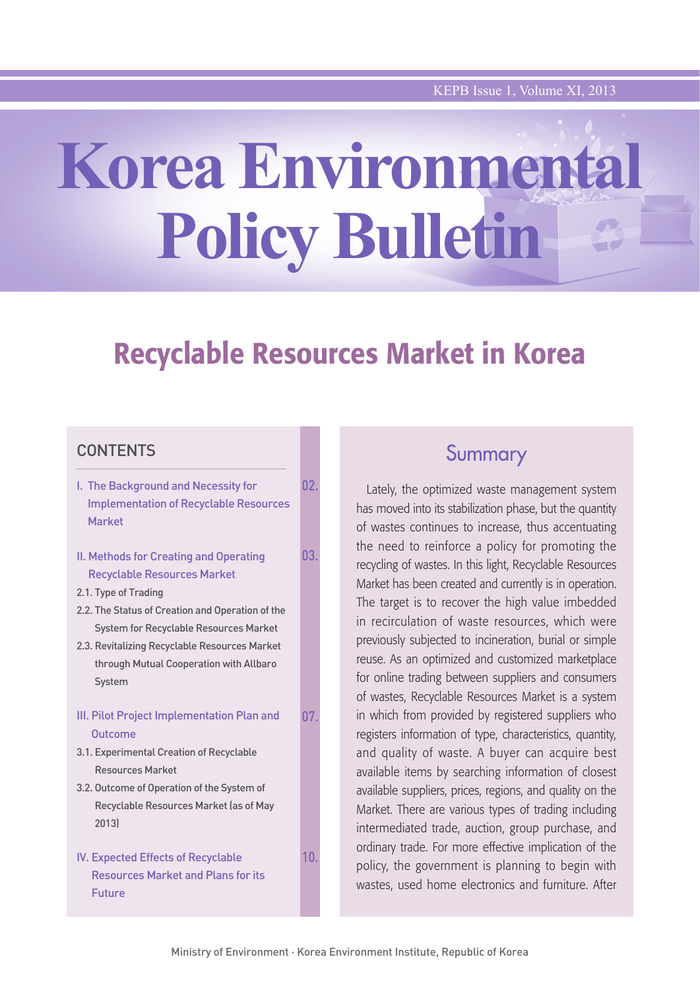# **Korea Environmental Policy Bulletin**

## Recyclable Resources Market in Korea

## **CONTENTS**

| I. The Background and Necessity for<br><b>Implementation of Recyclable Resources</b><br><b>Market</b>                                                                                                                                                                                                           | 02. |
|-----------------------------------------------------------------------------------------------------------------------------------------------------------------------------------------------------------------------------------------------------------------------------------------------------------------|-----|
| II. Methods for Creating and Operating<br><b>Recyclable Resources Market</b><br>2.1. Type of Trading<br>2.2. The Status of Creation and Operation of the<br><b>System for Recyclable Resources Market</b><br>2.3. Revitalizing Recyclable Resources Market<br>through Mutual Cooperation with Allbaro<br>System | 03. |
| III. Pilot Project Implementation Plan and<br>Outcome<br>3.1. Experimental Creation of Recyclable<br><b>Resources Market</b><br>3.2. Outcome of Operation of the System of<br>Recyclable Resources Market (as of May<br>2013)                                                                                   | 07. |
| <b>IV. Expected Effects of Recyclable</b><br><b>Resources Market and Plans for its</b><br>Future                                                                                                                                                                                                                | 10. |

## Summary

Lately, the optimized waste management system has moved into its stabilization phase, but the quantity of wastes continues to increase, thus accentuating the need to reinforce a policy for promoting the recycling of wastes. In this light, Recyclable Resources Market has been created and currently is in operation. The target is to recover the high value imbedded in recirculation of waste resources, which were previously subjected to incineration, burial or simple reuse. As an optimized and customized marketplace for online trading between suppliers and consumers of wastes, Recyclable Resources Market is a system in which from provided by registered suppliers who registers information of type, characteristics, quantity, and quality of waste. A buyer can acquire best available items by searching information of closest available suppliers, prices, regions, and quality on the Market. There are various types of trading including intermediated trade, auction, group purchase, and ordinary trade. For more effective implication of the policy, the government is planning to begin with wastes, used home electronics and furniture. After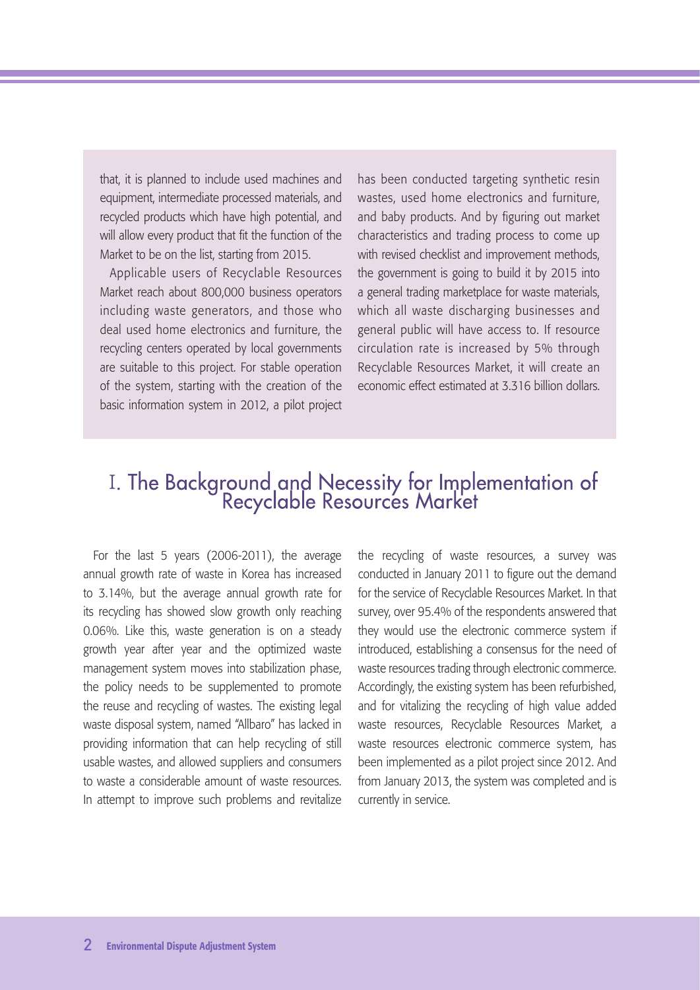that, it is planned to include used machines and equipment, intermediate processed materials, and recycled products which have high potential, and will allow every product that fit the function of the Market to be on the list, starting from 2015.

Applicable users of Recyclable Resources Market reach about 800,000 business operators including waste generators, and those who deal used home electronics and furniture, the recycling centers operated by local governments are suitable to this project. For stable operation of the system, starting with the creation of the basic information system in 2012, a pilot project

has been conducted targeting synthetic resin wastes, used home electronics and furniture, and baby products. And by figuring out market characteristics and trading process to come up with revised checklist and improvement methods, the government is going to build it by 2015 into a general trading marketplace for waste materials, which all waste discharging businesses and general public will have access to. If resource circulation rate is increased by 5% through Recyclable Resources Market, it will create an economic effect estimated at 3.316 billion dollars.

## I. The Background and Necessity for Implementation of<br>Recyclable Resources Market

For the last 5 years (2006-2011), the average annual growth rate of waste in Korea has increased to 3.14%, but the average annual growth rate for its recycling has showed slow growth only reaching 0.06%. Like this, waste generation is on a steady growth year after year and the optimized waste management system moves into stabilization phase, the policy needs to be supplemented to promote the reuse and recycling of wastes. The existing legal waste disposal system, named "Allbaro" has lacked in providing information that can help recycling of still usable wastes, and allowed suppliers and consumers to waste a considerable amount of waste resources. In attempt to improve such problems and revitalize

the recycling of waste resources, a survey was conducted in January 2011 to figure out the demand for the service of Recyclable Resources Market. In that survey, over 95.4% of the respondents answered that they would use the electronic commerce system if introduced, establishing a consensus for the need of waste resources trading through electronic commerce. Accordingly, the existing system has been refurbished, and for vitalizing the recycling of high value added waste resources, Recyclable Resources Market, a waste resources electronic commerce system, has been implemented as a pilot project since 2012. And from January 2013, the system was completed and is currently in service.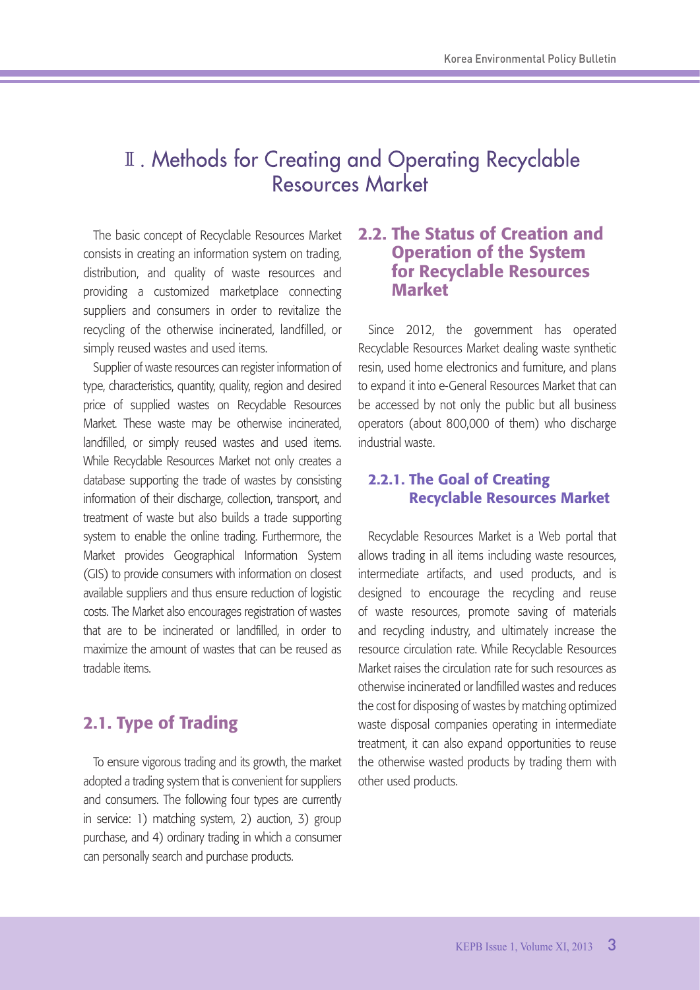## II. Methods for Creating and Operating Recyclable **Resources Market**

The basic concept of Recyclable Resources Market consists in creating an information system on trading, distribution, and quality of waste resources and providing a customized marketplace connecting suppliers and consumers in order to revitalize the recycling of the otherwise incinerated, landfilled, or simply reused wastes and used items.

Supplier of waste resources can register information of type, characteristics, quantity, quality, region and desired price of supplied wastes on Recyclable Resources Market. These waste may be otherwise incinerated, landfilled, or simply reused wastes and used items. While Recyclable Resources Market not only creates a database supporting the trade of wastes by consisting information of their discharge, collection, transport, and treatment of waste but also builds a trade supporting system to enable the online trading. Furthermore, the Market provides Geographical Information System (GIS) to provide consumers with information on closest available suppliers and thus ensure reduction of logistic costs. The Market also encourages registration of wastes that are to be incinerated or landfilled, in order to maximize the amount of wastes that can be reused as tradable items.

## 2.1. Type of Trading

To ensure vigorous trading and its growth, the market adopted a trading system that is convenient for suppliers and consumers. The following four types are currently in service: 1) matching system, 2) auction, 3) group purchase, and 4) ordinary trading in which a consumer can personally search and purchase products.

## 2.2. The Status of Creation and Operation of the System for Recyclable Resources Market

Since 2012, the government has operated Recyclable Resources Market dealing waste synthetic resin, used home electronics and furniture, and plans to expand it into e-General Resources Market that can be accessed by not only the public but all business operators (about 800,000 of them) who discharge industrial waste.

## 2.2.1. The Goal of Creating Recyclable Resources Market

Recyclable Resources Market is a Web portal that allows trading in all items including waste resources, intermediate artifacts, and used products, and is designed to encourage the recycling and reuse of waste resources, promote saving of materials and recycling industry, and ultimately increase the resource circulation rate. While Recyclable Resources Market raises the circulation rate for such resources as otherwise incinerated or landfilled wastes and reduces the cost for disposing of wastes by matching optimized waste disposal companies operating in intermediate treatment, it can also expand opportunities to reuse the otherwise wasted products by trading them with other used products.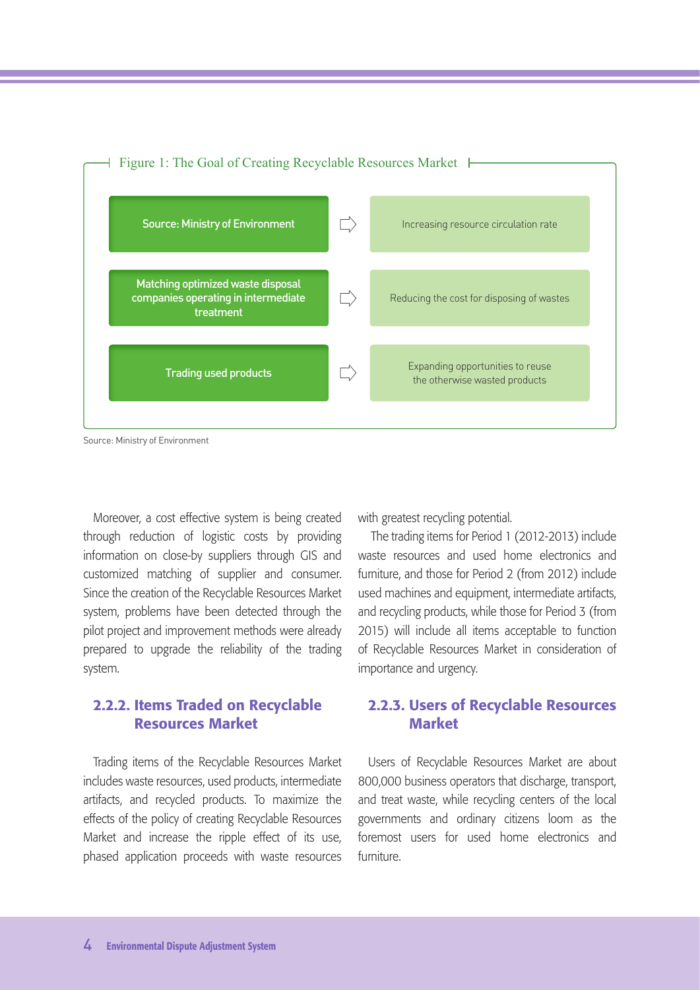

Source: Ministry of Environment

Moreover, a cost effective system is being created through reduction of logistic costs by providing information on close-by suppliers through GIS and customized matching of supplier and consumer. Since the creation of the Recyclable Resources Market system, problems have been detected through the pilot project and improvement methods were already prepared to upgrade the reliability of the trading system.

## 2.2.2. Items Traded on Recyclable Resources Market

Trading items of the Recyclable Resources Market includes waste resources, used products, intermediate artifacts, and recycled products. To maximize the effects of the policy of creating Recyclable Resources Market and increase the ripple effect of its use, phased application proceeds with waste resources

with greatest recycling potential.

 The trading items for Period 1 (2012-2013) include waste resources and used home electronics and furniture, and those for Period 2 (from 2012) include used machines and equipment, intermediate artifacts, and recycling products, while those for Period 3 (from 2015) will include all items acceptable to function of Recyclable Resources Market in consideration of importance and urgency.

## 2.2.3. Users of Recyclable Resources Market

Users of Recyclable Resources Market are about 800,000 business operators that discharge, transport, and treat waste, while recycling centers of the local governments and ordinary citizens loom as the foremost users for used home electronics and furniture.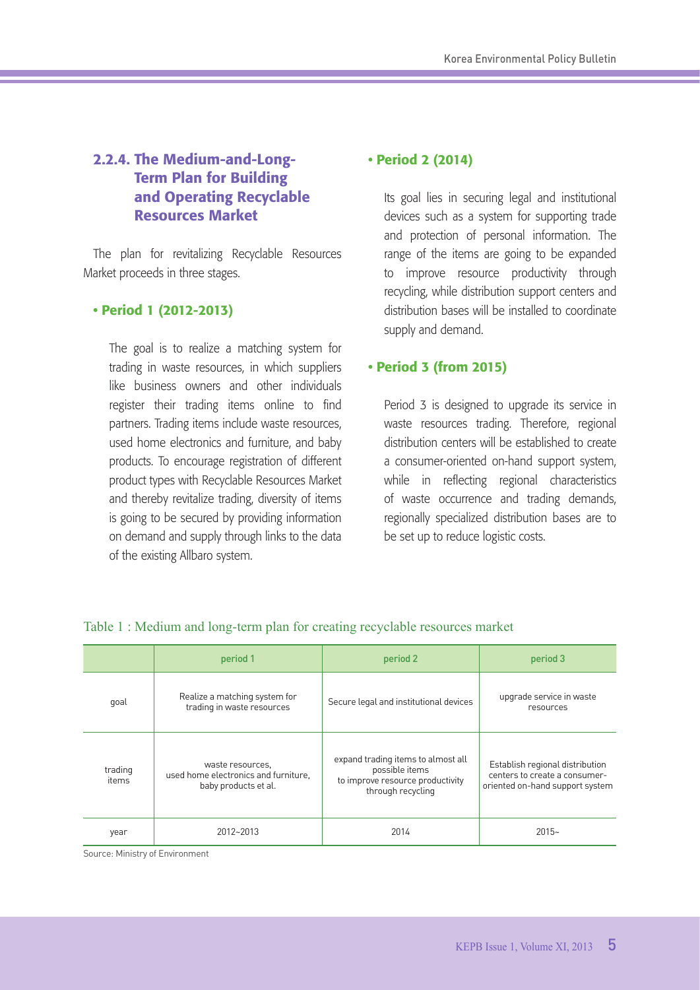## 2.2.4. The Medium-and-Long-Term Plan for Building and Operating Recyclable Resources Market

The plan for revitalizing Recyclable Resources Market proceeds in three stages.

## • Period 1 (2012-2013)

The goal is to realize a matching system for trading in waste resources, in which suppliers like business owners and other individuals register their trading items online to find partners. Trading items include waste resources, used home electronics and furniture, and baby products. To encourage registration of different product types with Recyclable Resources Market and thereby revitalize trading, diversity of items is going to be secured by providing information on demand and supply through links to the data of the existing Allbaro system.

## • Period 2 (2014)

Its goal lies in securing legal and institutional devices such as a system for supporting trade and protection of personal information. The range of the items are going to be expanded to improve resource productivity through recycling, while distribution support centers and distribution bases will be installed to coordinate supply and demand.

## • Period 3 (from 2015)

Period 3 is designed to upgrade its service in waste resources trading. Therefore, regional distribution centers will be established to create a consumer-oriented on-hand support system, while in reflecting regional characteristics of waste occurrence and trading demands, regionally specialized distribution bases are to be set up to reduce logistic costs.

|                  | period 1                                                                         | period 2                                                                                                      | period 3                                                                                            |
|------------------|----------------------------------------------------------------------------------|---------------------------------------------------------------------------------------------------------------|-----------------------------------------------------------------------------------------------------|
| goal             | Realize a matching system for<br>trading in waste resources                      | Secure legal and institutional devices                                                                        | upgrade service in waste<br>resources                                                               |
| trading<br>items | waste resources.<br>used home electronics and furniture.<br>baby products et al. | expand trading items to almost all<br>possible items<br>to improve resource productivity<br>through recycling | Establish regional distribution<br>centers to create a consumer-<br>oriented on-hand support system |
| year             | 2012~2013                                                                        | 2014                                                                                                          | $2015-$                                                                                             |

#### Table 1 : Medium and long-term plan for creating recyclable resources market

Source: Ministry of Environment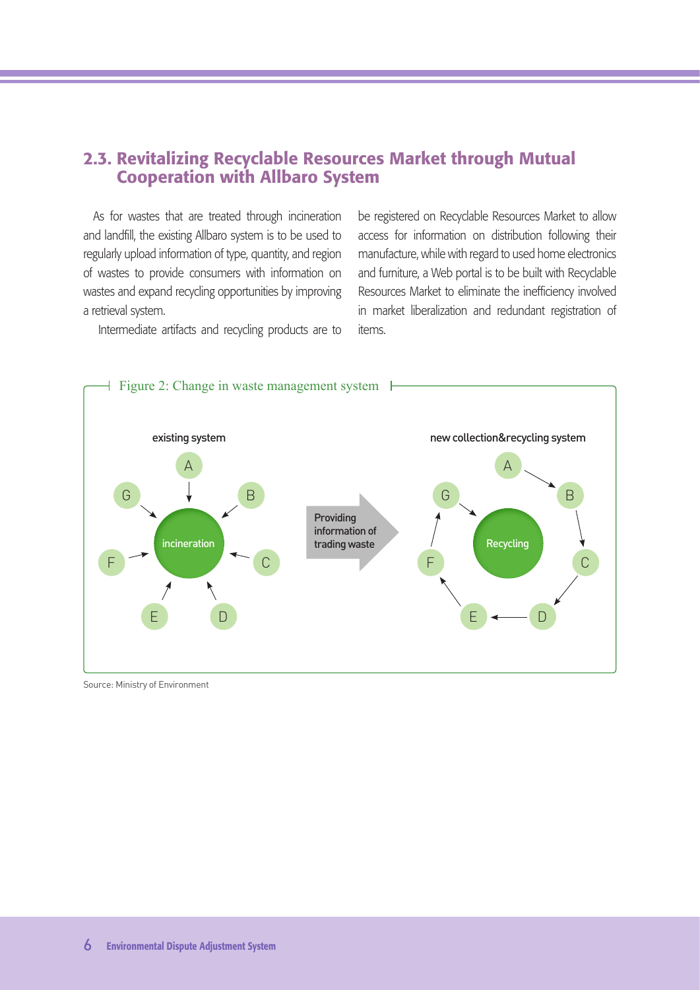## 2.3. Revitalizing Recyclable Resources Market through Mutual Cooperation with Allbaro System

As for wastes that are treated through incineration and landfill, the existing Allbaro system is to be used to regularly upload information of type, quantity, and region of wastes to provide consumers with information on wastes and expand recycling opportunities by improving a retrieval system.

Intermediate artifacts and recycling products are to

be registered on Recyclable Resources Market to allow access for information on distribution following their manufacture, while with regard to used home electronics and furniture, a Web portal is to be built with Recyclable Resources Market to eliminate the inefficiency involved in market liberalization and redundant registration of items.



Source: Ministry of Environment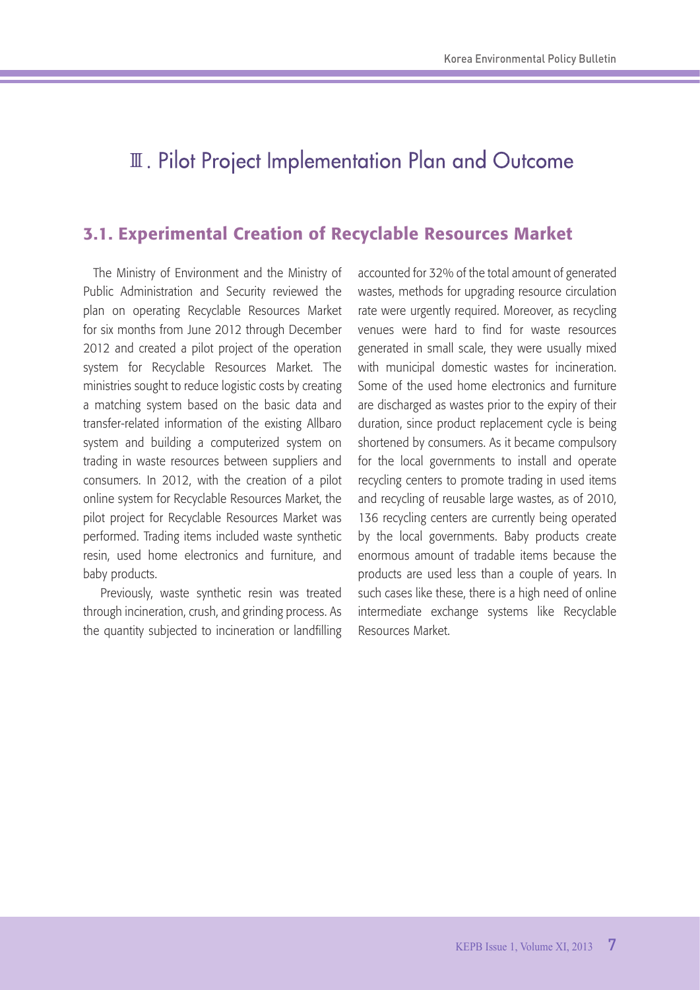## **II. Pilot Project Implementation Plan and Outcome**

## 3.1. Experimental Creation of Recyclable Resources Market

The Ministry of Environment and the Ministry of Public Administration and Security reviewed the plan on operating Recyclable Resources Market for six months from June 2012 through December 2012 and created a pilot project of the operation system for Recyclable Resources Market. The ministries sought to reduce logistic costs by creating a matching system based on the basic data and transfer-related information of the existing Allbaro system and building a computerized system on trading in waste resources between suppliers and consumers. In 2012, with the creation of a pilot online system for Recyclable Resources Market, the pilot project for Recyclable Resources Market was performed. Trading items included waste synthetic resin, used home electronics and furniture, and baby products.

 Previously, waste synthetic resin was treated through incineration, crush, and grinding process. As the quantity subjected to incineration or landfilling

accounted for 32% of the total amount of generated wastes, methods for upgrading resource circulation rate were urgently required. Moreover, as recycling venues were hard to find for waste resources generated in small scale, they were usually mixed with municipal domestic wastes for incineration. Some of the used home electronics and furniture are discharged as wastes prior to the expiry of their duration, since product replacement cycle is being shortened by consumers. As it became compulsory for the local governments to install and operate recycling centers to promote trading in used items and recycling of reusable large wastes, as of 2010, 136 recycling centers are currently being operated by the local governments. Baby products create enormous amount of tradable items because the products are used less than a couple of years. In such cases like these, there is a high need of online intermediate exchange systems like Recyclable Resources Market.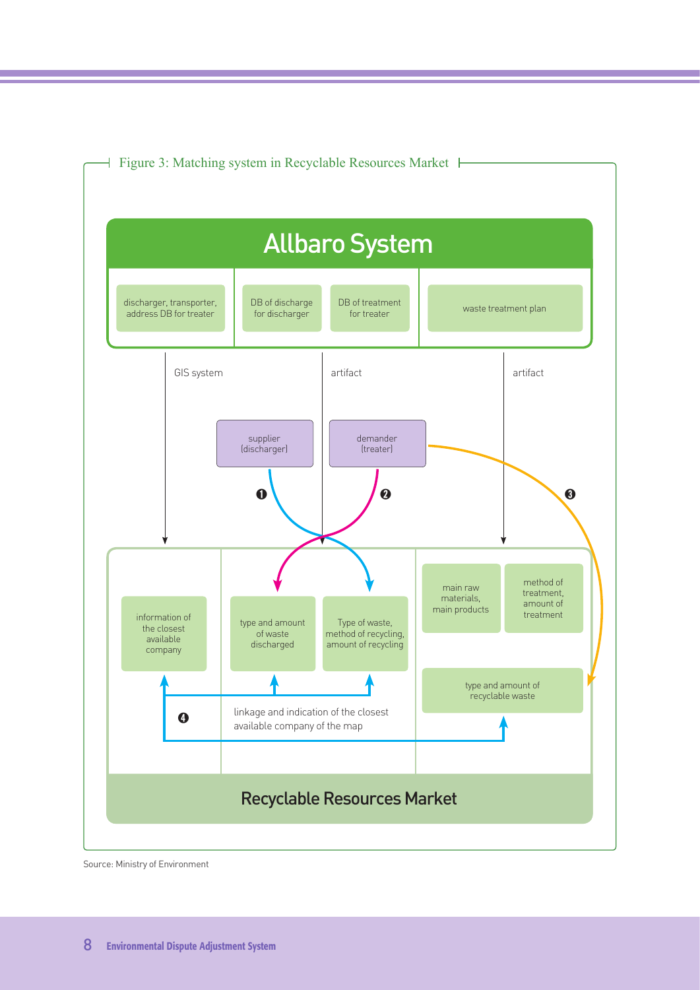

Figure 3: Matching system in Recyclable Resources Market

Source: Ministry of Environment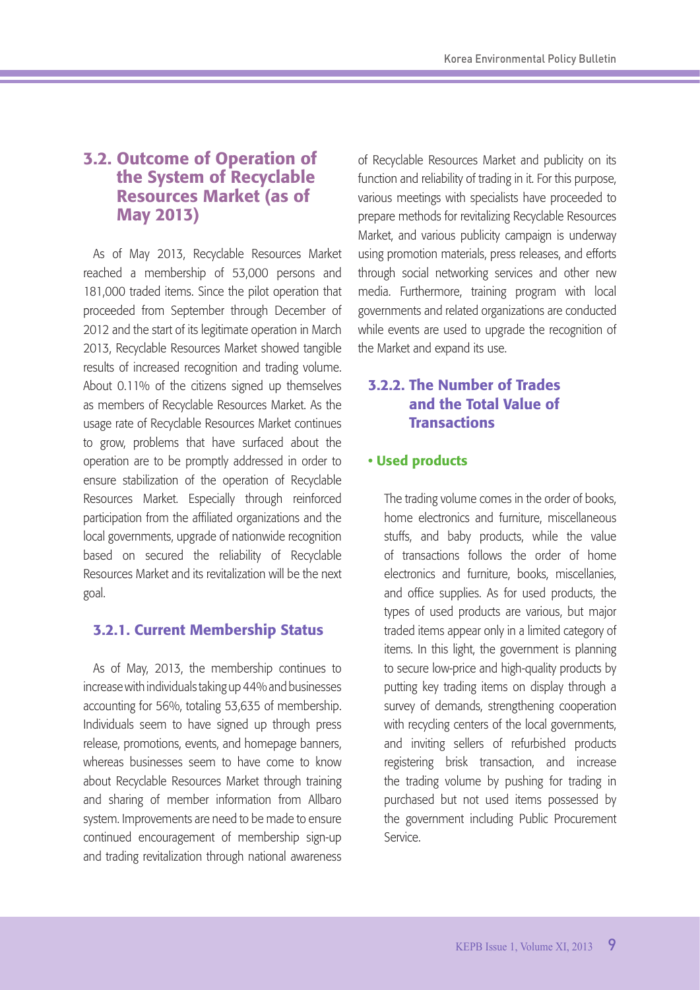## 3.2. Outcome of Operation of the System of Recyclable Resources Market (as of May 2013)

As of May 2013, Recyclable Resources Market reached a membership of 53,000 persons and 181,000 traded items. Since the pilot operation that proceeded from September through December of 2012 and the start of its legitimate operation in March 2013, Recyclable Resources Market showed tangible results of increased recognition and trading volume. About 0.11% of the citizens signed up themselves as members of Recyclable Resources Market. As the usage rate of Recyclable Resources Market continues to grow, problems that have surfaced about the operation are to be promptly addressed in order to ensure stabilization of the operation of Recyclable Resources Market. Especially through reinforced participation from the affiliated organizations and the local governments, upgrade of nationwide recognition based on secured the reliability of Recyclable Resources Market and its revitalization will be the next goal.

### 3.2.1. Current Membership Status

As of May, 2013, the membership continues to increase with individuals taking up 44% and businesses accounting for 56%, totaling 53,635 of membership. Individuals seem to have signed up through press release, promotions, events, and homepage banners, whereas businesses seem to have come to know about Recyclable Resources Market through training and sharing of member information from Allbaro system. Improvements are need to be made to ensure continued encouragement of membership sign-up and trading revitalization through national awareness

of Recyclable Resources Market and publicity on its function and reliability of trading in it. For this purpose, various meetings with specialists have proceeded to prepare methods for revitalizing Recyclable Resources Market, and various publicity campaign is underway using promotion materials, press releases, and efforts through social networking services and other new media. Furthermore, training program with local governments and related organizations are conducted while events are used to upgrade the recognition of the Market and expand its use.

## 3.2.2. The Number of Trades and the Total Value of **Transactions**

### • Used products

The trading volume comes in the order of books, home electronics and furniture, miscellaneous stuffs, and baby products, while the value of transactions follows the order of home electronics and furniture, books, miscellanies, and office supplies. As for used products, the types of used products are various, but major traded items appear only in a limited category of items. In this light, the government is planning to secure low-price and high-quality products by putting key trading items on display through a survey of demands, strengthening cooperation with recycling centers of the local governments, and inviting sellers of refurbished products registering brisk transaction, and increase the trading volume by pushing for trading in purchased but not used items possessed by the government including Public Procurement Service.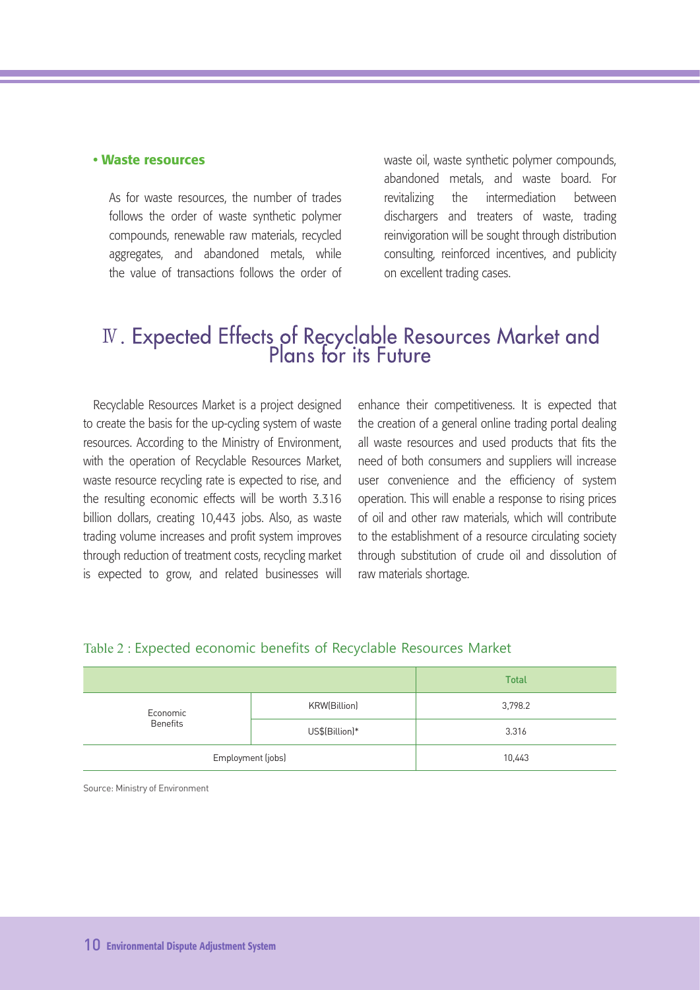#### • Waste resources

As for waste resources, the number of trades follows the order of waste synthetic polymer compounds, renewable raw materials, recycled aggregates, and abandoned metals, while the value of transactions follows the order of waste oil, waste synthetic polymer compounds, abandoned metals, and waste board. For revitalizing the intermediation between dischargers and treaters of waste, trading reinvigoration will be sought through distribution consulting, reinforced incentives, and publicity on excellent trading cases.

## IV. Expected Effects of Recyclable Resources Market and<br>Plans for its Future

Recyclable Resources Market is a project designed to create the basis for the up-cycling system of waste resources. According to the Ministry of Environment, with the operation of Recyclable Resources Market, waste resource recycling rate is expected to rise, and the resulting economic effects will be worth 3.316 billion dollars, creating 10,443 jobs. Also, as waste trading volume increases and profit system improves through reduction of treatment costs, recycling market is expected to grow, and related businesses will

enhance their competitiveness. It is expected that the creation of a general online trading portal dealing all waste resources and used products that fits the need of both consumers and suppliers will increase user convenience and the efficiency of system operation. This will enable a response to rising prices of oil and other raw materials, which will contribute to the establishment of a resource circulating society through substitution of crude oil and dissolution of raw materials shortage.

|                             | <b>Total</b>   |         |
|-----------------------------|----------------|---------|
| Economic<br><b>Benefits</b> | KRW(Billion)   | 3,798.2 |
|                             | US\$(Billion)* | 3.316   |
| Employment (jobs)           |                | 10,443  |

#### Table 2 : Expected economic benefits of Recyclable Resources Market

Source: Ministry of Environment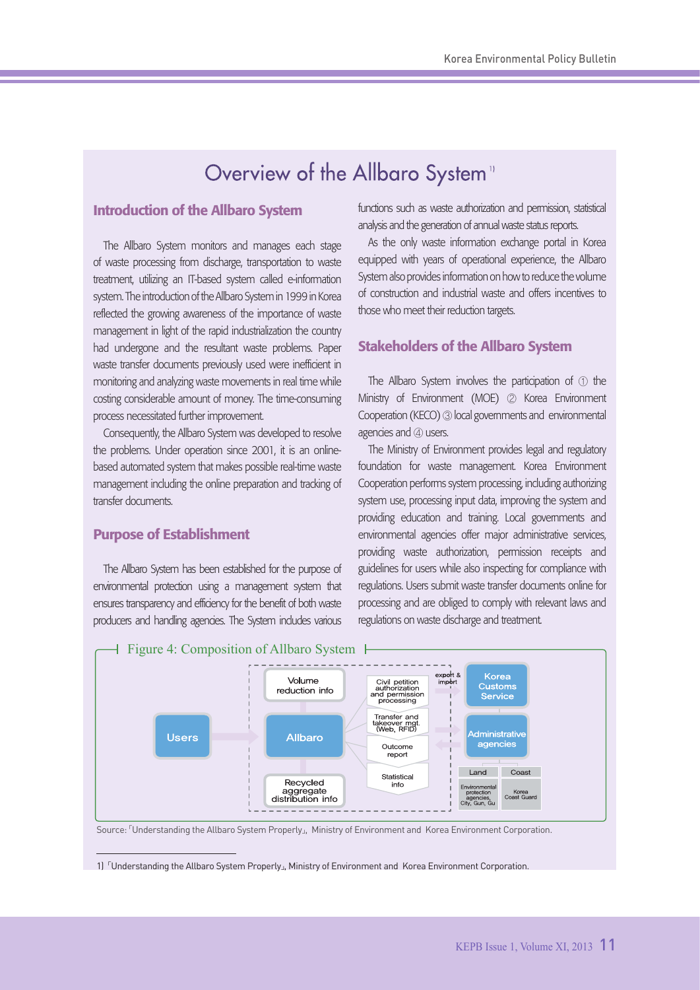## Overview of the Allbaro System"

## Introduction of the Allbaro System

The Allbaro System monitors and manages each stage of waste processing from discharge, transportation to waste treatment, utilizing an IT-based system called e-information system. The introduction of the Allbaro System in 1999 in Korea reflected the growing awareness of the importance of waste management in light of the rapid industrialization the country had undergone and the resultant waste problems. Paper waste transfer documents previously used were inefficient in monitoring and analyzing waste movements in real time while costing considerable amount of money. The time-consuming process necessitated further improvement.

Consequently, the Allbaro System was developed to resolve the problems. Under operation since 2001, it is an onlinebased automated system that makes possible real-time waste management including the online preparation and tracking of transfer documents.

### Purpose of Establishment

The Allbaro System has been established for the purpose of environmental protection using a management system that ensures transparency and efficiency for the benefit of both waste producers and handling agencies. The System indudes various

functions such as waste authorization and permission, statistical analysis and the generation of annual waste status reports.

As the only waste information exchange portal in Korea equipped with years of operational experience, the Allbaro System also provides information on how to reduce the volume of construction and industrial waste and offers incentives to those who meet their reduction targets.

#### Stakeholders of the Allbaro System

The Allbaro System involves the participation of ① the Ministry of Environment (MOE) ② Korea Environment Cooperation (KECO) ③ local governments and environmental agencies and **4** users.

The Ministry of Environment provides legal and regulatory foundation for waste management. Korea Environment Cooperation performs system processing, including authorizing system use, processing input data, improving the system and providing education and training. Local governments and environmental agencies offer major administrative services, providing waste authorization, permission receipts and guidelines for users while also inspecting for compliance with regulations. Users submit waste transfer documents online for processing and are obliged to comply with relevant laws and regulations on waste discharge and treatment.



Source: 「Understanding the Allbaro System Properly」, Ministry of Environment and Korea Environment Corporation.

<sup>1)</sup> 「Understanding the Allbaro System Properly」, Ministry of Environment and Korea Environment Corporation.